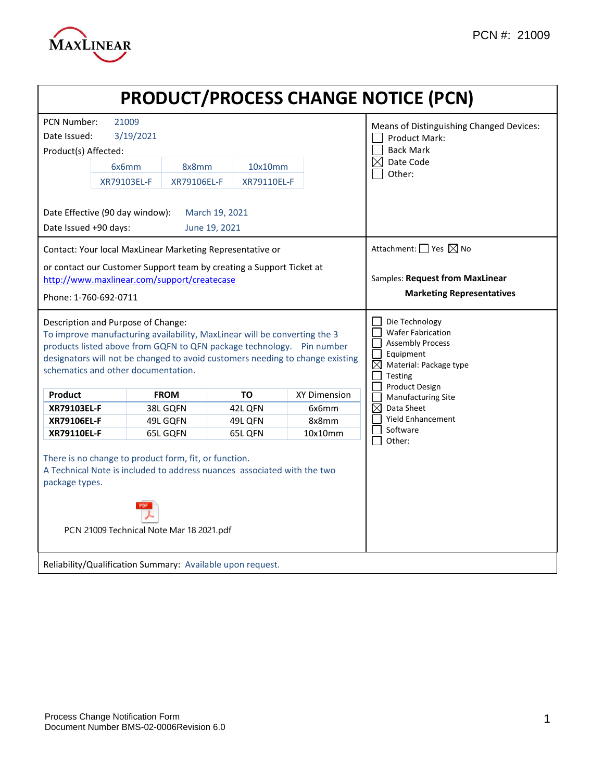

| <b>PRODUCT/PROCESS CHANGE NOTICE (PCN)</b>                                                                                                                                                                                                                                                                        |                                                                                                                                                                              |                                 |                                          |                     |                                                                                                                                                                 |  |  |
|-------------------------------------------------------------------------------------------------------------------------------------------------------------------------------------------------------------------------------------------------------------------------------------------------------------------|------------------------------------------------------------------------------------------------------------------------------------------------------------------------------|---------------------------------|------------------------------------------|---------------------|-----------------------------------------------------------------------------------------------------------------------------------------------------------------|--|--|
| <b>PCN Number:</b><br>21009<br>Means of Distinguishing Changed Devices:                                                                                                                                                                                                                                           |                                                                                                                                                                              |                                 |                                          |                     |                                                                                                                                                                 |  |  |
| Date Issued:                                                                                                                                                                                                                                                                                                      | 3/19/2021                                                                                                                                                                    |                                 | <b>Product Mark:</b><br><b>Back Mark</b> |                     |                                                                                                                                                                 |  |  |
| Product(s) Affected:                                                                                                                                                                                                                                                                                              |                                                                                                                                                                              |                                 |                                          |                     |                                                                                                                                                                 |  |  |
|                                                                                                                                                                                                                                                                                                                   | 6x6mm                                                                                                                                                                        | 8x8mm                           | 10x10mm                                  |                     | $\boxtimes$<br>Date Code<br>Other:                                                                                                                              |  |  |
|                                                                                                                                                                                                                                                                                                                   | XR79103EL-F                                                                                                                                                                  | XR79106EL-F                     | XR79110EL-F                              |                     |                                                                                                                                                                 |  |  |
| Date Issued +90 days:                                                                                                                                                                                                                                                                                             | Date Effective (90 day window):                                                                                                                                              | March 19, 2021<br>June 19, 2021 |                                          |                     |                                                                                                                                                                 |  |  |
| Contact: Your local MaxLinear Marketing Representative or                                                                                                                                                                                                                                                         |                                                                                                                                                                              |                                 |                                          |                     | Attachment: $\Box$ Yes $\boxtimes$ No                                                                                                                           |  |  |
| or contact our Customer Support team by creating a Support Ticket at<br>http://www.maxlinear.com/support/createcase<br>Phone: 1-760-692-0711                                                                                                                                                                      |                                                                                                                                                                              |                                 |                                          |                     | Samples: Request from MaxLinear<br><b>Marketing Representatives</b>                                                                                             |  |  |
| Description and Purpose of Change:<br>To improve manufacturing availability, MaxLinear will be converting the 3<br>products listed above from GQFN to QFN package technology.  Pin number<br>designators will not be changed to avoid customers needing to change existing<br>schematics and other documentation. |                                                                                                                                                                              |                                 |                                          |                     | Die Technology<br><b>Wafer Fabrication</b><br><b>Assembly Process</b><br>Equipment<br>$\boxtimes$<br>Material: Package type<br><b>Testing</b><br>Product Design |  |  |
| Product                                                                                                                                                                                                                                                                                                           |                                                                                                                                                                              | <b>FROM</b>                     | <b>TO</b>                                | <b>XY Dimension</b> | Manufacturing Site                                                                                                                                              |  |  |
| XR79103EL-F                                                                                                                                                                                                                                                                                                       |                                                                                                                                                                              | 38L GQFN                        | 42L QFN                                  | 6x6mm               | $\boxtimes$<br>Data Sheet<br><b>Yield Enhancement</b>                                                                                                           |  |  |
| XR79106EL-F<br><b>XR79110EL-F</b>                                                                                                                                                                                                                                                                                 |                                                                                                                                                                              | 49L GQFN<br>65L GQFN            | 49L QFN<br>65L QFN                       | 8x8mm<br>10x10mm    | Software                                                                                                                                                        |  |  |
| package types.                                                                                                                                                                                                                                                                                                    | There is no change to product form, fit, or function.<br>A Technical Note is included to address nuances associated with the two<br>PCN 21009 Technical Note Mar 18 2021.pdf | Other:                          |                                          |                     |                                                                                                                                                                 |  |  |
| Reliability/Qualification Summary: Available upon request.                                                                                                                                                                                                                                                        |                                                                                                                                                                              |                                 |                                          |                     |                                                                                                                                                                 |  |  |